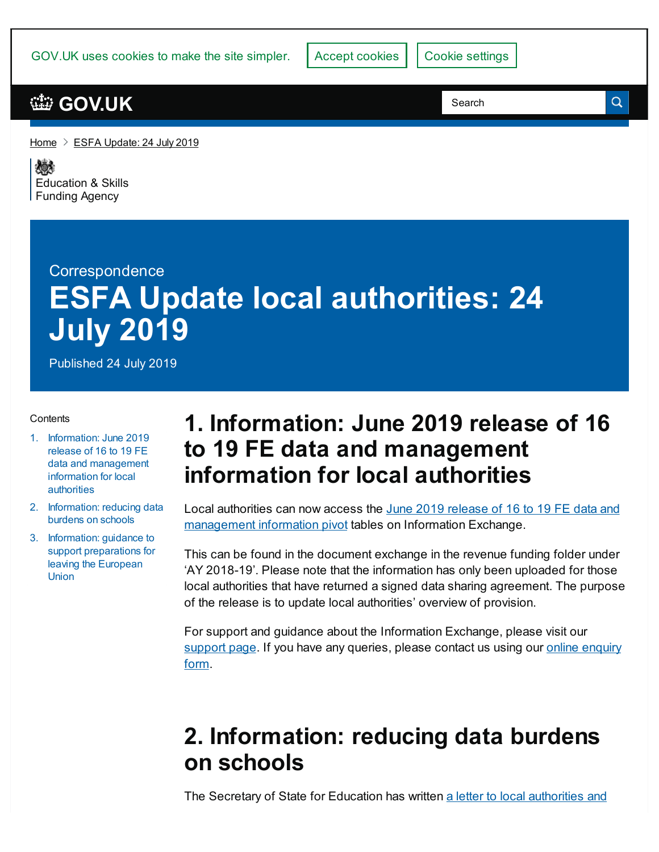| GOV.UK uses cookies to make the site simpler. | Accept cookies   Cookie settings |  |
|-----------------------------------------------|----------------------------------|--|

[Home](https://www.gov.uk/)  $\geq$  ESFA [Update:](https://www.gov.uk/government/publications/esfa-update-24-july-2019) 24 July 2019

《感》 [Education](https://www.gov.uk/government/organisations/education-and-skills-funding-agency) & Skills **Funding Agency** 

# **Correspondence ESFA Update local authorities: 24 July 2019**

Published 24 July 2019

#### **Contents**

- 1. Information: June 2019 release of 16 to 19 FE data and [management](#page-0-0) information for local authorities
- 2. [Information:](#page-0-1) reducing data burdens on schools
- 3. Information: guidance to support [preparations](#page-1-0) for leaving the European Union

## <span id="page-0-0"></span>**1. Information: June 2019 release of 16 to 19 FE data and management information for local authorities**

Local authorities can now access the June 2019 release of 16 to 19 FE data and [management](https://www.gov.uk/government/publications/16-to-19-data-and-management-information-mi-reports) information pivot tables on Information Exchange.

This can be found in the document exchange in the revenue funding folder under 'AY 2018-19'. Please note that the information has only been uploaded for those local authorities that have returned a signed data sharing agreement. The purpose of the release is to update local authorities' overview of provision.

For support and guidance about the Information Exchange, please visit our [support](https://www.gov.uk/government/publications/efa-information-exchange) page. If you have any [queries,](https://form.education.gov.uk/en/AchieveForms/?form_uri=sandbox-publish://AF-Process-f9f4f5a1-936f-448b-bbeb-9dcdd595f468/AF-Stage-8aa41278-3cdd-45a3-ad87-80cbffb8b992/definition.json&redirectlink=%2Fen&cancelRedirectLink=%2Fen) please contact us using our online enquiry form.

## <span id="page-0-1"></span>**2. Information: reducing data burdens on schools**

The Secretary of State for Education has written a letter to local [authorities](https://www.gov.uk/government/publications/data-burdens-on-schools) and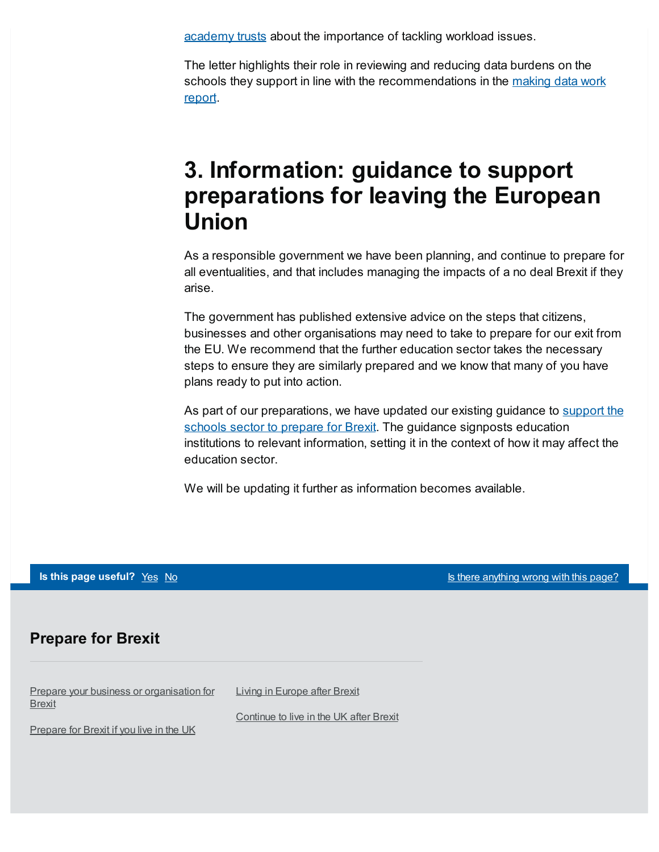academy trusts about the importance of tackling workload issues.

The letter highlights their role in reviewing and reducing data burdens on the schools they support in line with the [recommendations](https://www.gov.uk/government/publications/teacher-workload-advisory-group-report-and-government-response) in the making data work report.

## <span id="page-1-0"></span>**3. Information: guidance to support preparations for leaving the European Union**

As a responsible government we have been planning, and continue to prepare for all eventualities, and that includes managing the impacts of a no deal Brexit if they arise.

The government has published extensive advice on the steps that citizens, businesses and other organisations may need to take to prepare for our exit from the EU. We recommend that the further education sector takes the necessary steps to ensure they are similarly prepared and we know that many of you have plans ready to put into action.

As part of our [preparations,](https://www.gov.uk/government/publications/eu-exit-no-deal-preparations-for-schools-in-england) we have updated our existing guidance to support the schools sector to prepare for Brexit. The guidance signposts education institutions to relevant information, setting it in the context of how it may affect the education sector.

We will be updating it further as information becomes available.

**Is this page useful?** [Yes](https://www.gov.uk/contact/govuk) [No](https://www.gov.uk/contact/govuk) Is the Magnetic Control of the *Islamica Control is* the *Islamic useful?* Yes No Is the *Page?* 

#### **Prepare for Brexit**

Prepare your business or [organisation](https://www.gov.uk/business-uk-leaving-eu) for Brexit

Living in [Europe](https://www.gov.uk/uk-nationals-living-eu) after Brexit

[Prepare](https://www.gov.uk/prepare-eu-exit) for Brexit if you live in the UK

[Continue](https://www.gov.uk/staying-uk-eu-citizen) to live in the UK after Brexit